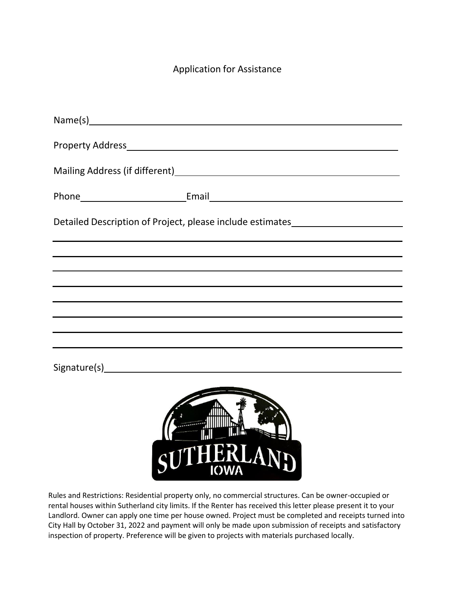## Application for Assistance

| Detailed Description of Project, please include estimates_______________________ |
|----------------------------------------------------------------------------------|
|                                                                                  |
|                                                                                  |
|                                                                                  |
|                                                                                  |
| ,我们也不会有什么。""我们的人,我们也不会有什么?""我们的人,我们也不会有什么?""我们的人,我们也不会有什么?""我们的人,我们也不会有什么?""我们的人 |
| ,我们也不会有什么。""我们的人,我们也不会有什么?""我们的人,我们也不会有什么?""我们的人,我们也不会有什么?""我们的人,我们也不会有什么?""我们的人 |
|                                                                                  |
|                                                                                  |

Rules and Restrictions: Residential property only, no commercial structures. Can be owner-occupied or rental houses within Sutherland city limits. If the Renter has received this letter please present it to your Landlord. Owner can apply one time per house owned. Project must be completed and receipts turned into City Hall by October 31, 2022 and payment will only be made upon submission of receipts and satisfactory inspection of property. Preference will be given to projects with materials purchased locally.